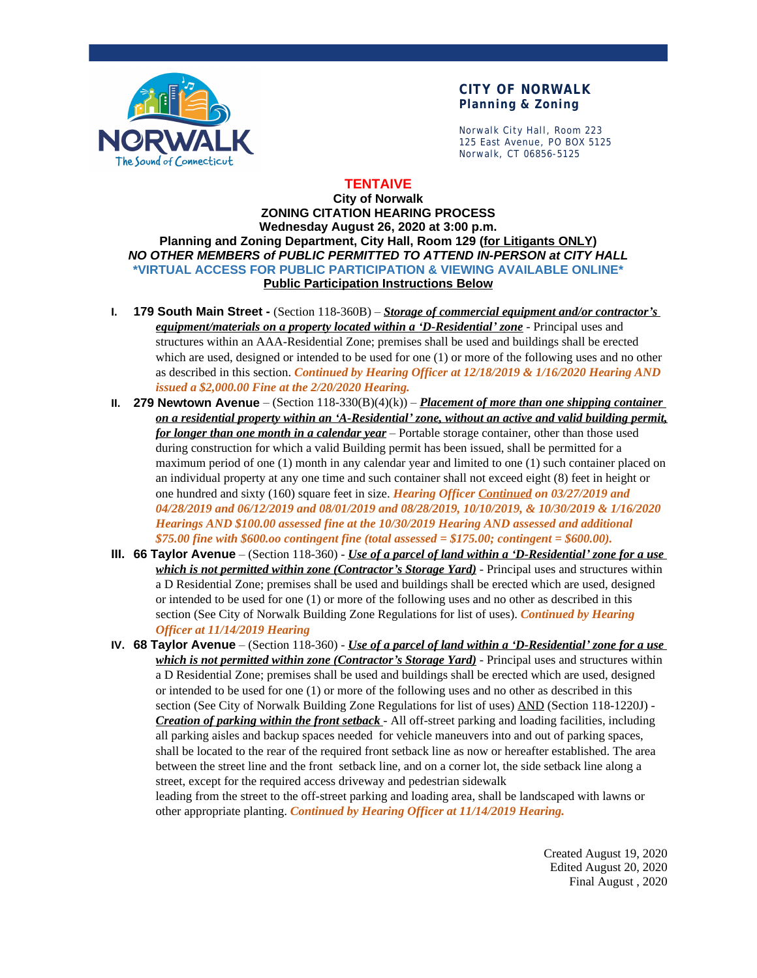

### **CITY OF NORWALK Planning & Zoning**

Norwalk City Hall, Room 223 125 East Avenue, PO BOX 5125 Norwalk, CT 06856-5125

## **TENTAIVE**

#### **City of Norwalk ZONING CITATION HEARING PROCESS Wednesday August 26, 2020 at 3:00 p.m. Planning and Zoning Department, City Hall, Room 129 (for Litigants ONLY)** *NO OTHER MEMBERS of PUBLIC PERMITTED TO ATTEND IN-PERSON at CITY HALL* **\*VIRTUAL ACCESS FOR PUBLIC PARTICIPATION & VIEWING AVAILABLE ONLINE\* Public Participation Instructions Below**

- **I. 179 South Main Street** (Section 118-360B) *Storage of commercial equipment and/or contractor's equipment/materials on a property located within a 'D-Residential' zone* - Principal uses and structures within an AAA-Residential Zone; premises shall be used and buildings shall be erected which are used, designed or intended to be used for one (1) or more of the following uses and no other as described in this section. *Continued by Hearing Officer at 12/18/2019 & 1/16/2020 Hearing AND issued a \$2,000.00 Fine at the 2/20/2020 Hearing.*
- **II. 279 Newtown Avenue** (Section 118-330(B)(4)(k)) *Placement of more than one shipping container on a residential property within an 'A-Residential' zone, without an active and valid building permit, for longer than one month in a calendar year* – Portable storage container, other than those used during construction for which a valid Building permit has been issued, shall be permitted for a maximum period of one (1) month in any calendar year and limited to one (1) such container placed on an individual property at any one time and such container shall not exceed eight (8) feet in height or one hundred and sixty (160) square feet in size. *Hearing Officer Continued on 03/27/2019 and 04/28/2019 and 06/12/2019 and 08/01/2019 and 08/28/2019, 10/10/2019, & 10/30/2019 & 1/16/2020 Hearings AND \$100.00 assessed fine at the 10/30/2019 Hearing AND assessed and additional \$75.00 fine with \$600.oo contingent fine (total assessed = \$175.00; contingent = \$600.00).*
- **III. 66 Taylor Avenue** (Section 118-360) *Use of a parcel of land within a 'D-Residential' zone for a use which is not permitted within zone (Contractor's Storage Yard)* - Principal uses and structures within a D Residential Zone; premises shall be used and buildings shall be erected which are used, designed or intended to be used for one (1) or more of the following uses and no other as described in this section (See City of Norwalk Building Zone Regulations for list of uses). *Continued by Hearing Officer at 11/14/2019 Hearing*

**IV. 68 Taylor Avenue** – (Section 118-360) - *Use of a parcel of land within a 'D-Residential' zone for a use which is not permitted within zone (Contractor's Storage Yard)* - Principal uses and structures within a D Residential Zone; premises shall be used and buildings shall be erected which are used, designed or intended to be used for one (1) or more of the following uses and no other as described in this section (See City of Norwalk Building Zone Regulations for list of uses) AND (Section 118-1220J) - *Creation of parking within the front setback* - All off-street parking and loading facilities, including all parking aisles and backup spaces needed for vehicle maneuvers into and out of parking spaces, shall be located to the rear of the required front setback line as now or hereafter established. The area between the street line and the front setback line, and on a corner lot, the side setback line along a street, except for the required access driveway and pedestrian sidewalk

leading from the street to the off-street parking and loading area, shall be landscaped with lawns or other appropriate planting. *Continued by Hearing Officer at 11/14/2019 Hearing.*

> Created August 19, 2020 Edited August 20, 2020 Final August , 2020